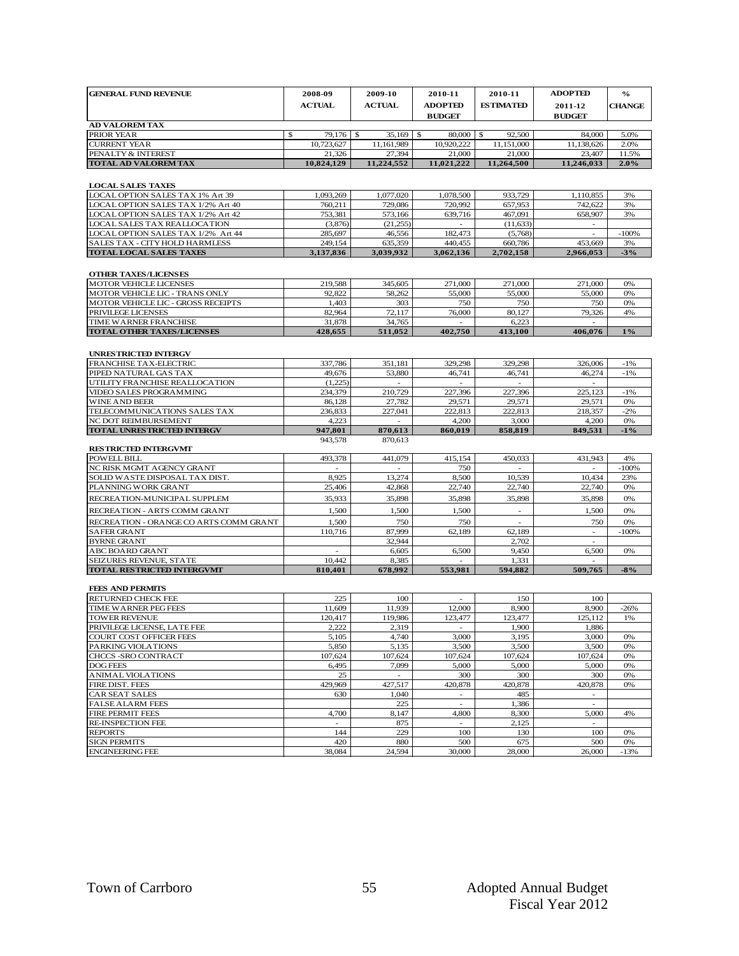| <b>GENERAL FUND REVENUE</b>                                        | 2008-09                       | 2009-10              | 2010-11                    | 2010-11                    | <b>ADOPTED</b>       | $\frac{6}{9}$ |
|--------------------------------------------------------------------|-------------------------------|----------------------|----------------------------|----------------------------|----------------------|---------------|
|                                                                    | <b>ACTUAL</b>                 | <b>ACTUAL</b>        | <b>ADOPTED</b>             | <b>ESTIMATED</b>           | 2011-12              |               |
|                                                                    |                               |                      | <b>BUDGET</b>              |                            | <b>BUDGET</b>        | <b>CHANGE</b> |
| <b>AD VALOREM TAX</b>                                              |                               |                      |                            |                            |                      |               |
| PRIOR YEAR<br><b>CURRENT YEAR</b>                                  | \$<br>79,176 \$<br>10,723,627 | 35,169<br>11,161,989 | \$<br>80,000<br>10,920,222 | \$<br>92,500<br>11,151,000 | 84,000<br>11,138,626 | 5.0%<br>2.0%  |
| PENALTY & INTEREST                                                 | 21,326                        | 27,394               | 21,000                     | 21,000                     | 23,407               | 11.5%         |
| <b>TOTAL AD VALOREM TAX</b>                                        | 10.824.129                    | 11,224,552           | 11,021,222                 | 11,264,500                 | 11.246.033           | 2.0%          |
|                                                                    |                               |                      |                            |                            |                      |               |
| <b>LOCAL SALES TAXES</b>                                           |                               |                      |                            |                            |                      |               |
| LOCAL OPTION SALES TAX 1% Art 39                                   | 1,093,269                     | 1,077,020            | 1,078,500                  | 933,729                    | 1,110,855            | 3%            |
| LOCAL OPTION SALES TAX 1/2% Art 40                                 | 760,211                       | 729,086              | 720,992                    | 657,953                    | 742,622              | 3%            |
| LOCAL OPTION SALES TAX 1/2% Art 42                                 | 753,381                       | 573,166              | 639,716                    | 467,091                    | 658,907              | 3%            |
| LOCAL SALES TAX REALLOCATION<br>LOCAL OPTION SALES TAX 1/2% Art 44 | (3,876)<br>285,697            | (21, 255)<br>46,556  | $\sim$<br>182,473          | (11, 633)<br>(5,768)       | $\sim$               | $-100%$       |
| SALES TAX - CITY HOLD HARMLESS                                     | 249,154                       | 635,359              | 440,455                    | 660,786                    | 453,669              | 3%            |
| <b>TOTAL LOCAL SALES TAXES</b>                                     | 3,137,836                     | 3,039,932            | 3,062,136                  | 2,702,158                  | 2,966,053            | $-3\%$        |
|                                                                    |                               |                      |                            |                            |                      |               |
| <b>OTHER TAXES/LICENSES</b>                                        |                               |                      |                            |                            |                      |               |
| <b>MOTOR VEHICLE LICENSES</b>                                      | 219,588                       | 345,605              | 271,000                    | 271,000                    | 271,000              | 0%            |
| MOTOR VEHICLE LIC - TRANS ONLY                                     | 92,822                        | 58,262               | 55,000                     | 55,000                     | 55,000               | 0%            |
| MOTOR VEHICLE LIC - GROSS RECEIPTS                                 | 1,403                         | 303                  | 750                        | 750                        | 750                  | 0%            |
| PRIVILEGE LICENSES<br>TIME WARNER FRANCHISE                        | 82,964<br>31,878              | 72,117<br>34,765     | 76,000                     | 80,127<br>6,223            | 79,326               | 4%            |
| <b>TOTAL OTHER TAXES/LICENSES</b>                                  | 428,655                       | 511,052              | 402,750                    | 413,100                    | 406,076              | $1\%$         |
|                                                                    |                               |                      |                            |                            |                      |               |
| <b>UNRESTRICTED INTERGV</b>                                        |                               |                      |                            |                            |                      |               |
| FRANCHISE TAX-ELECTRIC                                             | 337,786                       | 351,181              | 329,298                    | 329,298                    | 326,006              | $-1%$         |
| PIPED NATURAL GAS TAX                                              | 49,676                        | 53,880               | 46,741                     | 46,741                     | 46,274               | -1%           |
| UTILITY FRANCHISE REALLOCATION                                     | (1,225)                       |                      |                            |                            |                      |               |
| VIDEO SALES PROGRAMMING                                            | 234,379                       | 210,729              | 227,396                    | 227,396                    | 225,123              | $-1%$         |
| <b>WINE AND BEER</b>                                               | 86,128                        | 27,782               | 29,571                     | 29,571                     | 29,571               | 0%            |
| TELECOMMUNICATIONS SALES TAX<br>NC DOT REIMBURSEMENT               | 236,833<br>4,223              | 227,041              | 222,813<br>4,200           | 222,813<br>3,000           | 218,357<br>4,200     | $-2\%$<br>0%  |
| <b>TOTAL UNRESTRICTED INTERGV</b>                                  | 947,801                       | 870,613              | 860,019                    | 858,819                    | 849,531              | $-1\%$        |
|                                                                    | 943,578                       | 870,613              |                            |                            |                      |               |
| <b>RESTRICTED INTERGVMT</b>                                        |                               |                      |                            |                            |                      |               |
| <b>POWELL BILL</b>                                                 | 493,378                       | 441,079              | 415,154                    | 450,033                    | 431,943              | 4%            |
| NC RISK MGMT AGENCY GRANT                                          |                               |                      | 750                        |                            |                      | $-100%$       |
| SOLID WASTE DISPOSAL TAX DIST.<br>PLANNING WORK GRANT              | 8,925<br>25,406               | 13,274<br>42,868     | 8,500<br>22,740            | 10,539<br>22,740           | 10,434<br>22,740     | 23%<br>0%     |
| RECREATION-MUNICIPAL SUPPLEM                                       | 35,933                        | 35,898               | 35,898                     | 35,898                     | 35,898               | 0%            |
|                                                                    |                               |                      |                            |                            |                      |               |
| RECREATION - ARTS COMM GRANT                                       | 1,500                         | 1,500                | 1,500                      | $\overline{\phantom{a}}$   | 1,500                | 0%            |
| RECREATION - ORANGE CO ARTS COMM GRANT                             | 1,500<br>110,716              | 750<br>87,999        | 750<br>62,189              | 62,189                     | 750                  | 0%<br>$-100%$ |
| SAFER GRANT<br><b>BYRNE GRANT</b>                                  |                               | 32,944               |                            | 2,702                      | $\sim$               |               |
| <b>ABC BOARD GRANT</b>                                             |                               | 6,605                | 6,500                      | 9,450                      | 6,500                | 0%            |
| SEIZURES REVENUE, STATE                                            | 10,442                        | 8,385                | $\sim$                     | 1,331                      | $\sim$               |               |
| <b>TOTAL RESTRICTED INTERGVMT</b>                                  | 810,401                       | 678,992              | 553,981                    | 594,882                    | 509,765              | $-8%$         |
|                                                                    |                               |                      |                            |                            |                      |               |
| <b>FEES AND PERMITS</b><br><b>RETURNED CHECK FEE</b>               | 225                           | 100                  | $\overline{a}$             | 150                        | 100                  |               |
| TIME WARNER PEG FEES                                               | 11,609                        | 11,939               | 12,000                     | 8,900                      | 8,900                | -26%          |
| <b>TOWER REVENUE</b>                                               | 120,417                       | 119,986              | 123,477                    | 123,477                    | 125,112              | 1%            |
| PRIVILEGE LICENSE, LATE FEE                                        | 2,222                         | 2,319                | $\sim$                     | 1,900                      | 1,886                |               |
| COURT COST OFFICER FEES                                            | 5,105                         | 4,740                | 3,000                      | 3,195                      | 3,000                | 0%            |
| PARKING VIOLATIONS                                                 | 5,850                         | 5,135                | 3,500                      | 3,500                      | 3,500                | 0%            |
| CHCCS -SRO CONTRACT                                                | 107,624                       | 107,624              | 107,624                    | 107,624                    | 107,624              | 0%            |
| DOG FEES<br><b>ANIMAL VIOLATIONS</b>                               | 6,495<br>25                   | 7,099                | 5,000<br>300               | 5,000<br>300               | 5,000<br>300         | $0\%$<br>0%   |
| FIRE DIST. FEES                                                    | 429,969                       | 427,517              | 420,878                    | 420,878                    | 420,878              | 0%            |
| CAR SEAT SALES                                                     | 630                           | 1,040                | $\sim$                     | 485                        | $\sim$               |               |
| <b>FALSE ALARM FEES</b>                                            |                               | 225                  | $\overline{a}$             | 1,386                      | $\blacksquare$       |               |
| <b>FIRE PERMIT FEES</b>                                            | 4,700                         | 8,147                | 4,800                      | 8,300                      | 5,000                | 4%            |
| RE-INSPECTION FEE                                                  | $\overline{\phantom{a}}$      | 875                  | $\overline{\phantom{a}}$   | 2,125                      |                      |               |
| <b>REPORTS</b><br><b>SIGN PERMITS</b>                              | 144<br>420                    | 229<br>880           | 100<br>500                 | 130<br>675                 | 100<br>500           | 0%<br>0%      |
| <b>ENGINEERING FEE</b>                                             | 38,084                        | 24,594               | 30,000                     | 28,000                     | 26,000               | $-13%$        |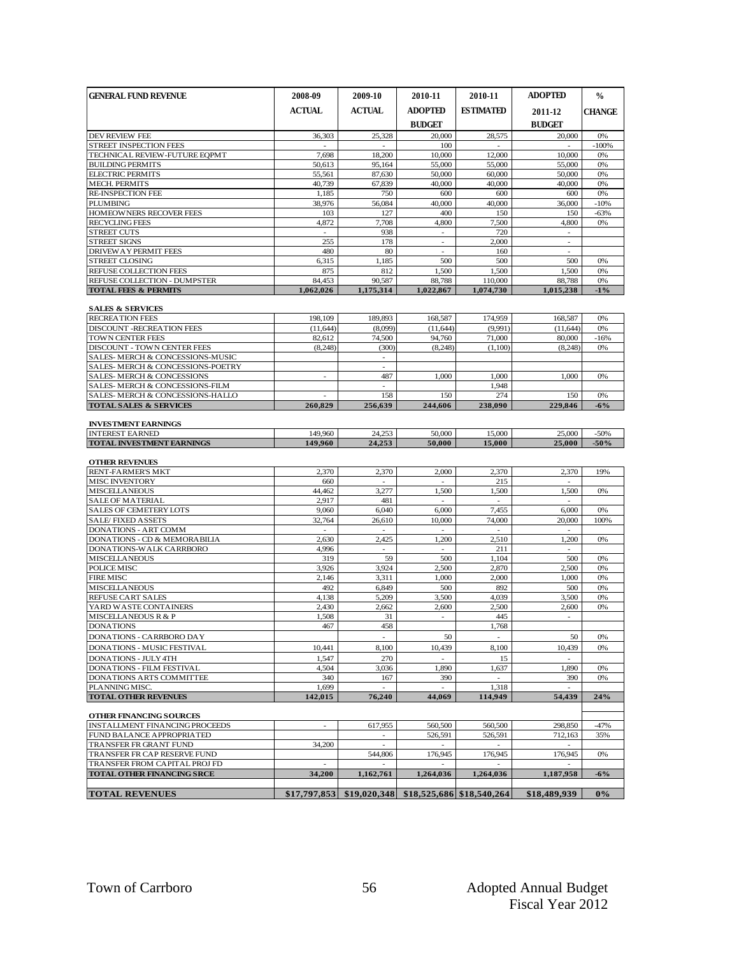| <b>GENERAL FUND REVENUE</b>                                                                                                                                                        | 2008-09                  | 2009-10                  | 2010-11                         | 2010-11                   | <b>ADOPTED</b>              | $\frac{0}{0}$ |
|------------------------------------------------------------------------------------------------------------------------------------------------------------------------------------|--------------------------|--------------------------|---------------------------------|---------------------------|-----------------------------|---------------|
|                                                                                                                                                                                    | ACTUAL                   | ACTUAL                   | <b>ADOPTED</b><br><b>BUDGET</b> | <b>ESTIMATED</b>          | 2011-12<br><b>BUDGET</b>    | <b>CHANGE</b> |
| <b>DEV REVIEW FEE</b>                                                                                                                                                              | 36,303                   | 25,328                   | 20,000                          | 28,575                    | 20,000                      | 0%            |
| STREET INSPECTION FEES                                                                                                                                                             | $\overline{\phantom{a}}$ | $\sim$                   | 100                             | $\overline{\phantom{a}}$  |                             | $-100%$       |
| TECHNICAL REVIEW-FUTURE EQPMT                                                                                                                                                      | 7,698                    | 18,200                   | 10,000                          | 12,000                    | 10,000                      | 0%<br>0%      |
| <b>BUILDING PERMITS</b><br><b>ELECTRIC PERMITS</b>                                                                                                                                 | 50,613<br>55,561         | 95,164<br>87,630         | 55,000<br>50,000                | 55,000<br>60,000          | 55,000<br>50,000            | 0%            |
| <b>MECH. PERMITS</b>                                                                                                                                                               | 40,739                   | 67,839                   | 40,000                          | 40,000                    | 40,000                      | 0%            |
| <b>RE-INSPECTION FEE</b>                                                                                                                                                           | 1,185                    | 750                      | 600                             | 600                       | 600                         | 0%            |
| <b>PLUMBING</b>                                                                                                                                                                    | 38,976                   | 56,084                   | 40,000                          | 40,000                    | 36,000                      | $-10%$        |
| <b>HOMEOWNERS RECOVER FEES</b><br><b>RECYCLING FEES</b>                                                                                                                            | 103<br>4,872             | 127<br>7,708             | 400<br>4,800                    | 150<br>7,500              | 150<br>4,800                | $-63%$<br>0%  |
| <b>STREET CUTS</b>                                                                                                                                                                 | $\sim$                   | 938                      | $\sim$                          | 720                       | $\sim$                      |               |
| <b>STREET SIGNS</b>                                                                                                                                                                | 255                      | 178                      |                                 | 2,000                     |                             |               |
| <b>DRIVEW A Y PERMIT FEES</b>                                                                                                                                                      | 480                      | 80                       | $\overline{a}$                  | 160                       | $\sim$                      |               |
| <b>STREET CLOSING</b>                                                                                                                                                              | 6,315                    | 1,185                    | 500                             | 500                       | 500                         | 0%            |
| REFUSE COLLECTION FEES<br><b>REFUSE COLLECTION - DUMPSTER</b>                                                                                                                      | 875<br>84.453            | 812<br>90.587            | 1,500<br>88,788                 | 1,500<br>110,000          | 1,500<br>88,788             | 0%<br>0%      |
| <b>TOTAL FEES &amp; PERMITS</b>                                                                                                                                                    | 1,062,026                | 1,175,314                | 1,022,867                       | 1.074.730                 | 1.015.238                   | $-1\%$        |
|                                                                                                                                                                                    |                          |                          |                                 |                           |                             |               |
| <b>SALES &amp; SERVICES</b>                                                                                                                                                        |                          |                          |                                 |                           |                             |               |
| <b>RECREATION FEES</b>                                                                                                                                                             | 198,109<br>(11, 644)     | 189,893<br>(8,099)       | 168,587<br>(11, 644)            | 174,959<br>(9,991)        | 168,587<br>(11, 644)        | 0%<br>0%      |
| DISCOUNT - RECREATION FEES<br>TOWN CENTER FEES                                                                                                                                     | 82,612                   | 74,500                   | 94,760                          | 71,000                    | 80,000                      | $-16%$        |
| <b>DISCOUNT - TOWN CENTER FEES</b>                                                                                                                                                 | (8,248)                  | (300)                    | (8,248)                         | (1,100)                   | (8,248)                     | 0%            |
| SALES- MERCH & CONCESSIONS-MUSIC                                                                                                                                                   |                          | $\sim$                   |                                 |                           |                             |               |
| SALES- MERCH & CONCESSIONS-POETRY                                                                                                                                                  |                          |                          |                                 |                           |                             |               |
| <b>SALES-MERCH &amp; CONCESSIONS</b><br>SALES- MERCH & CONCESSIONS-FILM                                                                                                            | $\overline{\phantom{a}}$ | 487                      | 1,000                           | 1,000<br>1.948            | 1,000                       | 0%            |
| SALES-MERCH & CONCESSIONS-HALLO                                                                                                                                                    |                          | 158                      | 150                             | 274                       | 150                         | 0%            |
| <b>TOTAL SALES &amp; SERVICES</b>                                                                                                                                                  | 260,829                  | 256,639                  | 244,606                         | 238,090                   | 229,846                     | $-6\%$        |
|                                                                                                                                                                                    |                          |                          |                                 |                           |                             |               |
| <b>INVESTMENT EARNINGS</b><br><b>INTEREST EARNED</b>                                                                                                                               | 149,960                  | 24,253                   | 50,000                          | 15,000                    | 25,000                      | -50%          |
| <b>TOTAL INVESTMENT EARNINGS</b>                                                                                                                                                   | 149.960                  | 24,253                   | 50,000                          | 15,000                    | 25,000                      | $-50%$        |
|                                                                                                                                                                                    |                          |                          |                                 |                           |                             |               |
|                                                                                                                                                                                    |                          |                          |                                 |                           |                             |               |
|                                                                                                                                                                                    |                          |                          |                                 |                           |                             |               |
|                                                                                                                                                                                    | 2,370                    | 2,370                    | 2,000                           | 2,370                     | 2,370                       | 19%           |
|                                                                                                                                                                                    | 660                      |                          |                                 | 215                       |                             |               |
| <b>OTHER REVENUES</b><br>RENT-FARMER'S MKT<br><b>MISC INVENTORY</b><br><b>MISCELLANEOUS</b>                                                                                        | 44,462                   | 3,277                    | 1,500<br>÷                      | 1,500<br>$\overline{a}$   | 1,500<br>÷                  | 0%            |
| <b>SALE OF MATERIAL</b><br>SALES OF CEMETERY LOTS                                                                                                                                  | 2,917<br>9.060           | 481<br>6,040             | 6.000                           | 7.455                     | 6.000                       | 0%            |
| <b>SALE/FIXED ASSETS</b>                                                                                                                                                           | 32,764                   | 26,610                   | 10,000                          | 74,000                    | 20,000                      | 100%          |
|                                                                                                                                                                                    | $\overline{\phantom{a}}$ | $\overline{a}$           | ÷                               | $\overline{\phantom{a}}$  | ÷                           |               |
| <b>DONATIONS - ART COMM</b><br>DONATIONS - CD & MEMORABILIA                                                                                                                        | 2,630                    | 2,425                    | 1,200                           | 2,510                     | 1,200                       | 0%            |
| DONATIONS-WALK CARRBORO                                                                                                                                                            | 4,996                    | $\overline{a}$           |                                 | 211                       |                             |               |
| <b>MISCELLANEOUS</b><br><b>POLICE MISC</b>                                                                                                                                         | 319<br>3,926             | 59<br>3.924              | 500<br>2.500                    | 1,104<br>2,870            | 500<br>2,500                | 0%<br>0%      |
| <b>FIRE MISC</b>                                                                                                                                                                   | $\overline{2,}146$       | 3,311                    | 1,000                           | 2,000                     | 1.000                       | 0%            |
|                                                                                                                                                                                    | 492                      | 6,849                    | 500                             | 892                       | 500                         | 0%            |
|                                                                                                                                                                                    | 4,138                    | 5,209                    | 3,500                           | 4,039                     | 3,500                       | 0%            |
|                                                                                                                                                                                    | 2,430                    | 2,662                    | 2,600                           | 2,500                     | 2,600                       | 0%            |
|                                                                                                                                                                                    | 1,508<br>467             | 31<br>458                | $\sim$                          | 445<br>1,768              | $\mathcal{L}_{\mathcal{A}}$ |               |
|                                                                                                                                                                                    |                          | $\overline{\phantom{a}}$ | 50                              | $\mathcal{L}$             | 50                          | 0%            |
| <b>MISCELLANEOUS</b><br>REFUSE CART SALES<br>YARD WASTE CONTAINERS<br><b>MISCELLANEOUS R &amp; P</b><br><b>DONATIONS</b><br>DONATIONS - CARRBORO DAY<br>DONATIONS - MUSIC FESTIVAL | 10,441                   | 8,100                    | 10.439                          | 8,100                     | 10.439                      | 0%            |
|                                                                                                                                                                                    | 1,547                    | 270                      |                                 | 15                        |                             |               |
|                                                                                                                                                                                    | 4,504                    | 3,036                    | 1,890                           | 1,637                     | 1,890                       | 0%            |
|                                                                                                                                                                                    | 340                      | 167                      | 390                             |                           | 390                         | 0%            |
|                                                                                                                                                                                    | 1,699<br>142,015         | 76,240                   | 44.069                          | 1,318<br>114.949          | 54,439                      | 24%           |
|                                                                                                                                                                                    |                          |                          |                                 |                           |                             |               |
| <b>DONATIONS - JULY 4TH</b><br>DONATIONS - FILM FESTIVAL<br>DONATIONS ARTS COMMITTEE<br>PLANNING MISC.<br><b>TOTAL OTHER REVENUES</b><br>OTHER FINANCING SOURCES                   |                          |                          |                                 |                           |                             |               |
|                                                                                                                                                                                    | $\sim$                   | 617,955                  | 560,500                         | 560,500                   | 298,850                     | $-47%$        |
|                                                                                                                                                                                    |                          | $\sim$                   | 526,591                         | 526,591                   | 712,163                     | 35%           |
| <b>INSTALLMENT FINANCING PROCEEDS</b><br>FUND BALANCE APPROPRIATED<br>TRANSFER FR GRANT FUND<br>TRANSFER FR CAP RESERVE FUND                                                       | 34,200                   | 544,806                  | 176,945                         | 176,945                   | 176,945                     | 0%            |
| TRANSFER FROM CAPITAL PROJ FD                                                                                                                                                      | $\sim$                   |                          |                                 |                           |                             |               |
| TOTAL OTHER FINANCING SRCE                                                                                                                                                         | 34,200                   | 1,162,761                | 1,264,036                       | 1,264,036                 | 1,187,958                   | $-6\%$        |
| <b>TOTAL REVENUES</b>                                                                                                                                                              | \$17,797,853             | \$19,020,348             |                                 | \$18,525,686 \$18,540,264 | \$18,489,939                | $0\%$         |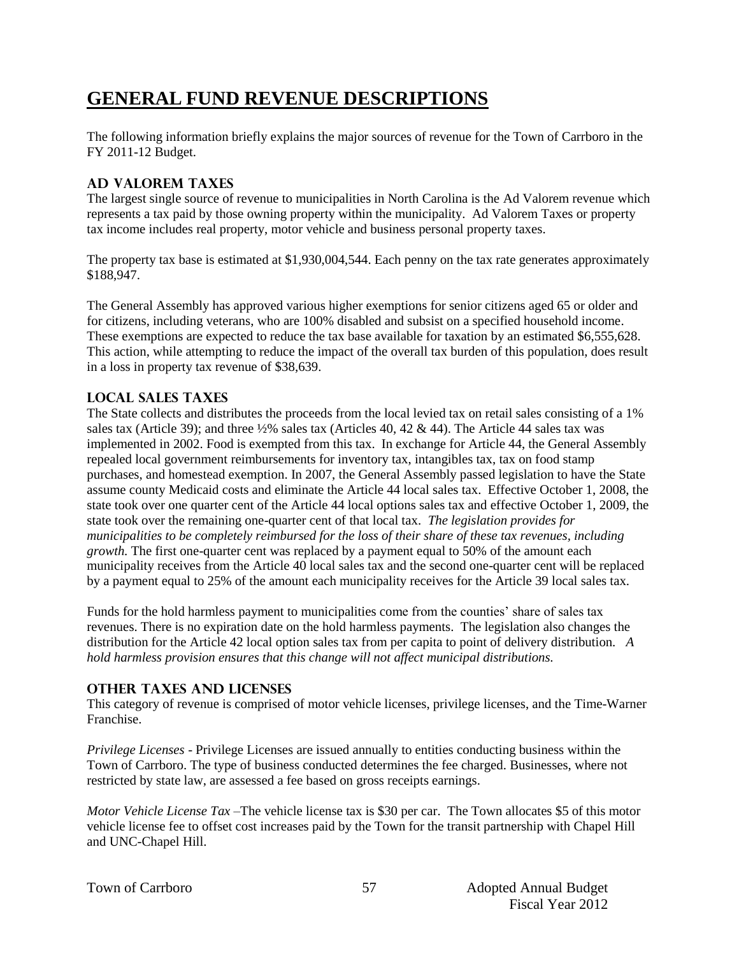# **GENERAL FUND REVENUE DESCRIPTIONS**

The following information briefly explains the major sources of revenue for the Town of Carrboro in the FY 2011-12 Budget.

## **AD VALOREM TAXES**

The largest single source of revenue to municipalities in North Carolina is the Ad Valorem revenue which represents a tax paid by those owning property within the municipality. Ad Valorem Taxes or property tax income includes real property, motor vehicle and business personal property taxes.

The property tax base is estimated at \$1,930,004,544. Each penny on the tax rate generates approximately \$188,947.

The General Assembly has approved various higher exemptions for senior citizens aged 65 or older and for citizens, including veterans, who are 100% disabled and subsist on a specified household income. These exemptions are expected to reduce the tax base available for taxation by an estimated \$6,555,628. This action, while attempting to reduce the impact of the overall tax burden of this population, does result in a loss in property tax revenue of \$38,639.

## **LOCAL SALES TAXES**

The State collects and distributes the proceeds from the local levied tax on retail sales consisting of a 1% sales tax (Article 39); and three  $\frac{1}{2\%}$  sales tax (Articles 40, 42 & 44). The Article 44 sales tax was implemented in 2002. Food is exempted from this tax. In exchange for Article 44, the General Assembly repealed local government reimbursements for inventory tax, intangibles tax, tax on food stamp purchases, and homestead exemption. In 2007, the General Assembly passed legislation to have the State assume county Medicaid costs and eliminate the Article 44 local sales tax. Effective October 1, 2008, the state took over one quarter cent of the Article 44 local options sales tax and effective October 1, 2009, the state took over the remaining one-quarter cent of that local tax. *The legislation provides for municipalities to be completely reimbursed for the loss of their share of these tax revenues, including growth.* The first one-quarter cent was replaced by a payment equal to 50% of the amount each municipality receives from the Article 40 local sales tax and the second one-quarter cent will be replaced by a payment equal to 25% of the amount each municipality receives for the Article 39 local sales tax.

Funds for the hold harmless payment to municipalities come from the counties' share of sales tax revenues. There is no expiration date on the hold harmless payments. The legislation also changes the distribution for the Article 42 local option sales tax from per capita to point of delivery distribution. *A hold harmless provision ensures that this change will not affect municipal distributions.*

## **OTHER TAXES AND LICENSES**

This category of revenue is comprised of motor vehicle licenses, privilege licenses, and the Time-Warner Franchise.

*Privilege Licenses* - Privilege Licenses are issued annually to entities conducting business within the Town of Carrboro. The type of business conducted determines the fee charged. Businesses, where not restricted by state law, are assessed a fee based on gross receipts earnings.

*Motor Vehicle License Tax* –The vehicle license tax is \$30 per car. The Town allocates \$5 of this motor vehicle license fee to offset cost increases paid by the Town for the transit partnership with Chapel Hill and UNC-Chapel Hill.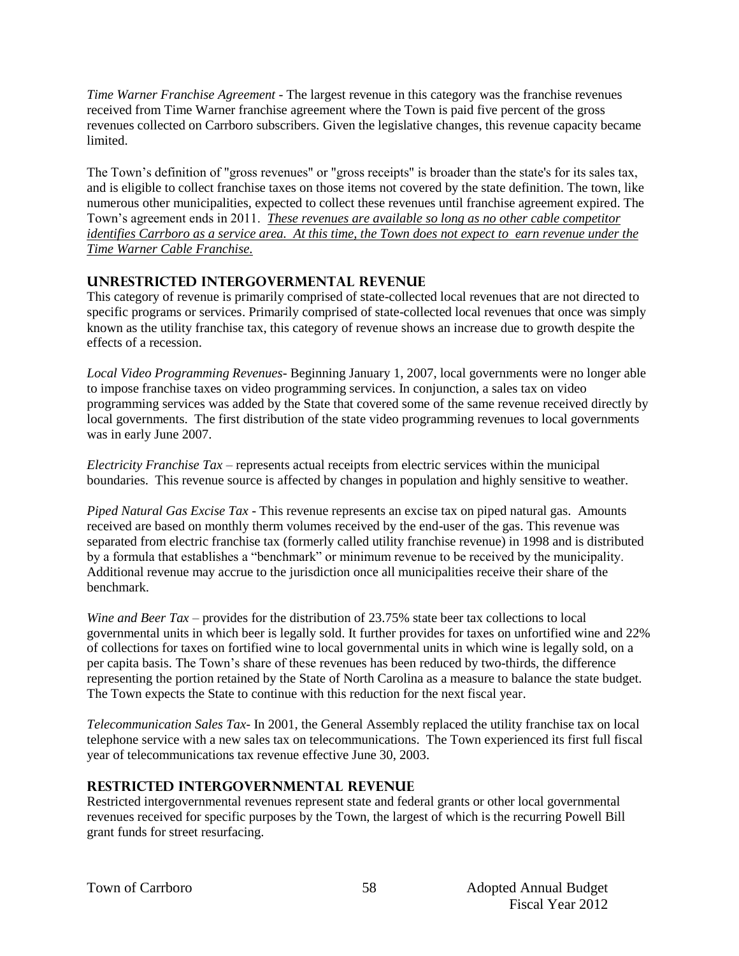*Time Warner Franchise Agreement -* The largest revenue in this category was the franchise revenues received from Time Warner franchise agreement where the Town is paid five percent of the gross revenues collected on Carrboro subscribers. Given the legislative changes, this revenue capacity became limited.

The Town's definition of "gross revenues" or "gross receipts" is broader than the state's for its sales tax, and is eligible to collect franchise taxes on those items not covered by the state definition. The town, like numerous other municipalities, expected to collect these revenues until franchise agreement expired. The Town's agreement ends in 2011. *These revenues are available so long as no other cable competitor identifies Carrboro as a service area. At this time, the Town does not expect to earn revenue under the Time Warner Cable Franchise.* 

## **UNRESTRICTED INTERGOVERMENTAL REVENUE**

This category of revenue is primarily comprised of state-collected local revenues that are not directed to specific programs or services. Primarily comprised of state-collected local revenues that once was simply known as the utility franchise tax, this category of revenue shows an increase due to growth despite the effects of a recession.

*Local Video Programming Revenues*- Beginning January 1, 2007, local governments were no longer able to impose franchise taxes on video programming services. In conjunction, a sales tax on video programming services was added by the State that covered some of the same revenue received directly by local governments. The first distribution of the state video programming revenues to local governments was in early June 2007.

*Electricity Franchise Tax* – represents actual receipts from electric services within the municipal boundaries. This revenue source is affected by changes in population and highly sensitive to weather.

*Piped Natural Gas Excise Tax* - This revenue represents an excise tax on piped natural gas. Amounts received are based on monthly therm volumes received by the end-user of the gas. This revenue was separated from electric franchise tax (formerly called utility franchise revenue) in 1998 and is distributed by a formula that establishes a "benchmark" or minimum revenue to be received by the municipality. Additional revenue may accrue to the jurisdiction once all municipalities receive their share of the benchmark.

*Wine and Beer Tax* – provides for the distribution of 23.75% state beer tax collections to local governmental units in which beer is legally sold. It further provides for taxes on unfortified wine and 22% of collections for taxes on fortified wine to local governmental units in which wine is legally sold, on a per capita basis. The Town's share of these revenues has been reduced by two-thirds, the difference representing the portion retained by the State of North Carolina as a measure to balance the state budget. The Town expects the State to continue with this reduction for the next fiscal year.

*Telecommunication Sales Tax*- In 2001, the General Assembly replaced the utility franchise tax on local telephone service with a new sales tax on telecommunications. The Town experienced its first full fiscal year of telecommunications tax revenue effective June 30, 2003.

## **RESTRICTED INTERGOVERNMENTAL REVENUE**

Restricted intergovernmental revenues represent state and federal grants or other local governmental revenues received for specific purposes by the Town, the largest of which is the recurring Powell Bill grant funds for street resurfacing.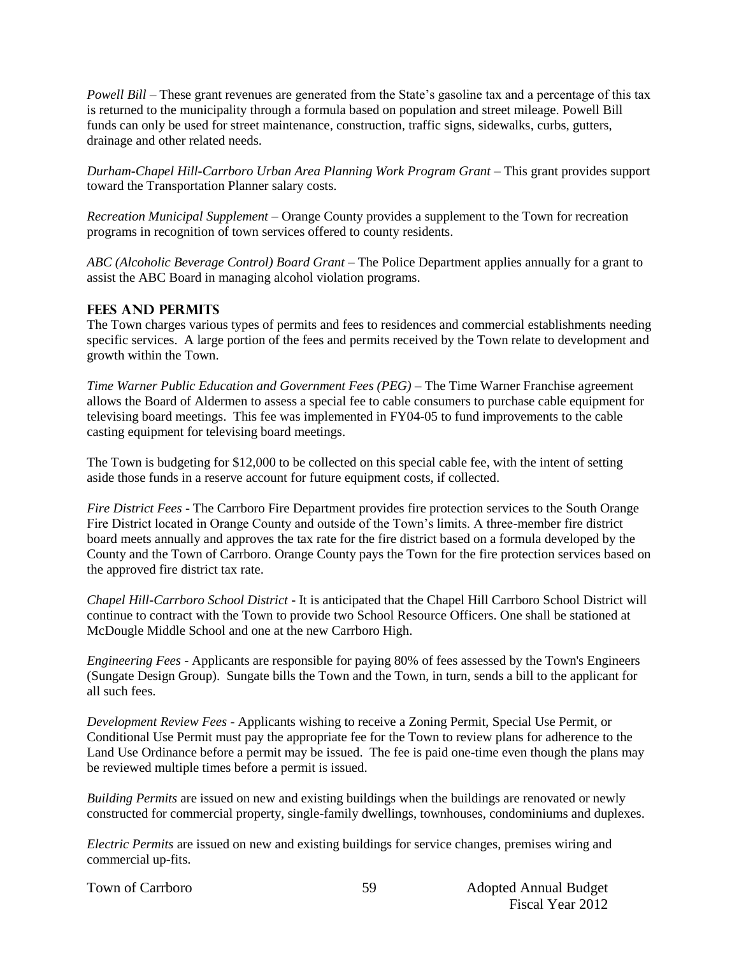*Powell Bill* – These grant revenues are generated from the State's gasoline tax and a percentage of this tax is returned to the municipality through a formula based on population and street mileage. Powell Bill funds can only be used for street maintenance, construction, traffic signs, sidewalks, curbs, gutters, drainage and other related needs.

*Durham-Chapel Hill-Carrboro Urban Area Planning Work Program Grant* – This grant provides support toward the Transportation Planner salary costs.

*Recreation Municipal Supplement –* Orange County provides a supplement to the Town for recreation programs in recognition of town services offered to county residents.

*ABC (Alcoholic Beverage Control) Board Grant* – The Police Department applies annually for a grant to assist the ABC Board in managing alcohol violation programs.

## **FEES AND PERMITS**

The Town charges various types of permits and fees to residences and commercial establishments needing specific services. A large portion of the fees and permits received by the Town relate to development and growth within the Town.

*Time Warner Public Education and Government Fees (PEG) –* The Time Warner Franchise agreement allows the Board of Aldermen to assess a special fee to cable consumers to purchase cable equipment for televising board meetings. This fee was implemented in FY04-05 to fund improvements to the cable casting equipment for televising board meetings.

The Town is budgeting for \$12,000 to be collected on this special cable fee, with the intent of setting aside those funds in a reserve account for future equipment costs, if collected.

*Fire District Fees* - The Carrboro Fire Department provides fire protection services to the South Orange Fire District located in Orange County and outside of the Town's limits. A three-member fire district board meets annually and approves the tax rate for the fire district based on a formula developed by the County and the Town of Carrboro. Orange County pays the Town for the fire protection services based on the approved fire district tax rate.

*Chapel Hill-Carrboro School District* - It is anticipated that the Chapel Hill Carrboro School District will continue to contract with the Town to provide two School Resource Officers. One shall be stationed at McDougle Middle School and one at the new Carrboro High.

*Engineering Fees* - Applicants are responsible for paying 80% of fees assessed by the Town's Engineers (Sungate Design Group). Sungate bills the Town and the Town, in turn, sends a bill to the applicant for all such fees.

*Development Review Fees* - Applicants wishing to receive a Zoning Permit, Special Use Permit, or Conditional Use Permit must pay the appropriate fee for the Town to review plans for adherence to the Land Use Ordinance before a permit may be issued. The fee is paid one-time even though the plans may be reviewed multiple times before a permit is issued.

*Building Permits* are issued on new and existing buildings when the buildings are renovated or newly constructed for commercial property, single-family dwellings, townhouses, condominiums and duplexes.

59

*Electric Permits* are issued on new and existing buildings for service changes, premises wiring and commercial up-fits.

Town of Carrboro **Adopted Annual Budget** 59 Adopted Annual Budget Fiscal Year 2012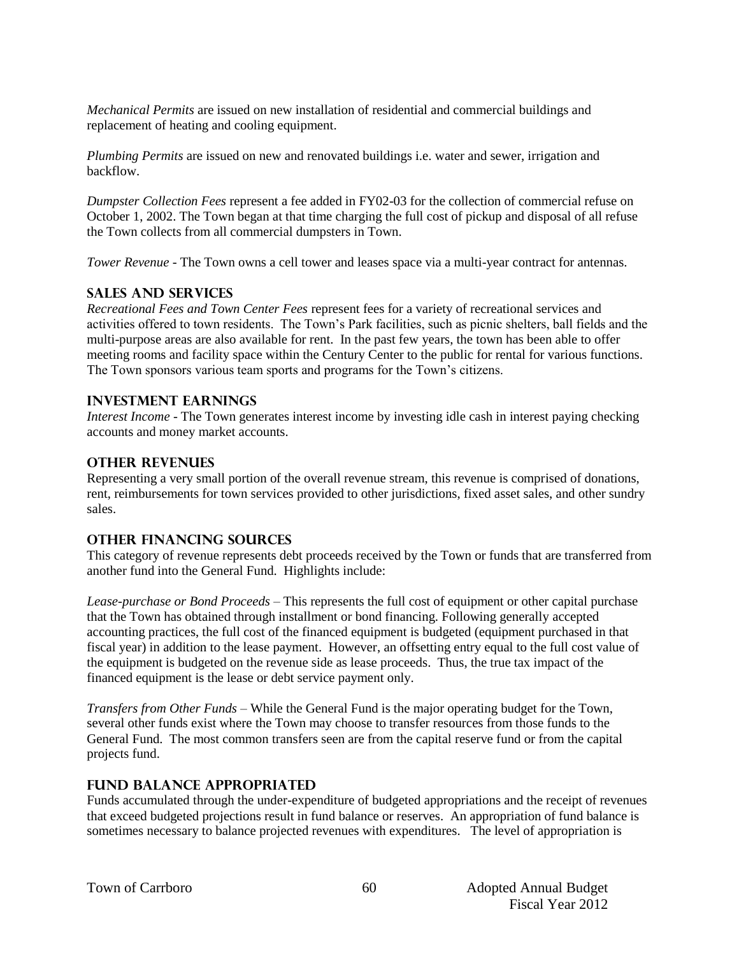*Mechanical Permits* are issued on new installation of residential and commercial buildings and replacement of heating and cooling equipment.

*Plumbing Permits* are issued on new and renovated buildings i.e. water and sewer, irrigation and backflow.

*Dumpster Collection Fees* represent a fee added in FY02-03 for the collection of commercial refuse on October 1, 2002. The Town began at that time charging the full cost of pickup and disposal of all refuse the Town collects from all commercial dumpsters in Town.

*Tower Revenue* - The Town owns a cell tower and leases space via a multi-year contract for antennas.

#### **SALES AND SERVICES**

*Recreational Fees and Town Center Fees* represent fees for a variety of recreational services and activities offered to town residents. The Town's Park facilities, such as picnic shelters, ball fields and the multi-purpose areas are also available for rent. In the past few years, the town has been able to offer meeting rooms and facility space within the Century Center to the public for rental for various functions. The Town sponsors various team sports and programs for the Town's citizens.

#### **INVESTMENT EARNINGS**

*Interest Income* - The Town generates interest income by investing idle cash in interest paying checking accounts and money market accounts.

#### **OTHER REVENUES**

Representing a very small portion of the overall revenue stream, this revenue is comprised of donations, rent, reimbursements for town services provided to other jurisdictions, fixed asset sales, and other sundry sales.

#### **OTHER FINANCING SOURCES**

This category of revenue represents debt proceeds received by the Town or funds that are transferred from another fund into the General Fund. Highlights include:

*Lease-purchase or Bond Proceeds –* This represents the full cost of equipment or other capital purchase that the Town has obtained through installment or bond financing. Following generally accepted accounting practices, the full cost of the financed equipment is budgeted (equipment purchased in that fiscal year) in addition to the lease payment. However, an offsetting entry equal to the full cost value of the equipment is budgeted on the revenue side as lease proceeds. Thus, the true tax impact of the financed equipment is the lease or debt service payment only.

*Transfers from Other Funds –* While the General Fund is the major operating budget for the Town, several other funds exist where the Town may choose to transfer resources from those funds to the General Fund. The most common transfers seen are from the capital reserve fund or from the capital projects fund.

#### **Fund Balance Appropriated**

Funds accumulated through the under-expenditure of budgeted appropriations and the receipt of revenues that exceed budgeted projections result in fund balance or reserves. An appropriation of fund balance is sometimes necessary to balance projected revenues with expenditures. The level of appropriation is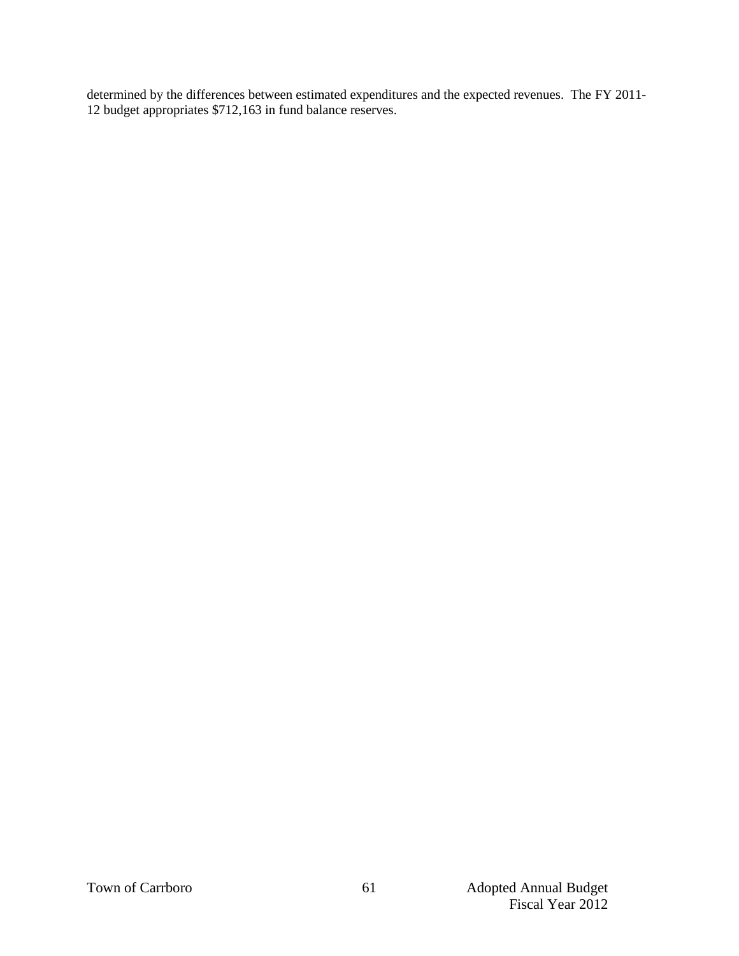determined by the differences between estimated expenditures and the expected revenues. The FY 2011- 12 budget appropriates \$712,163 in fund balance reserves.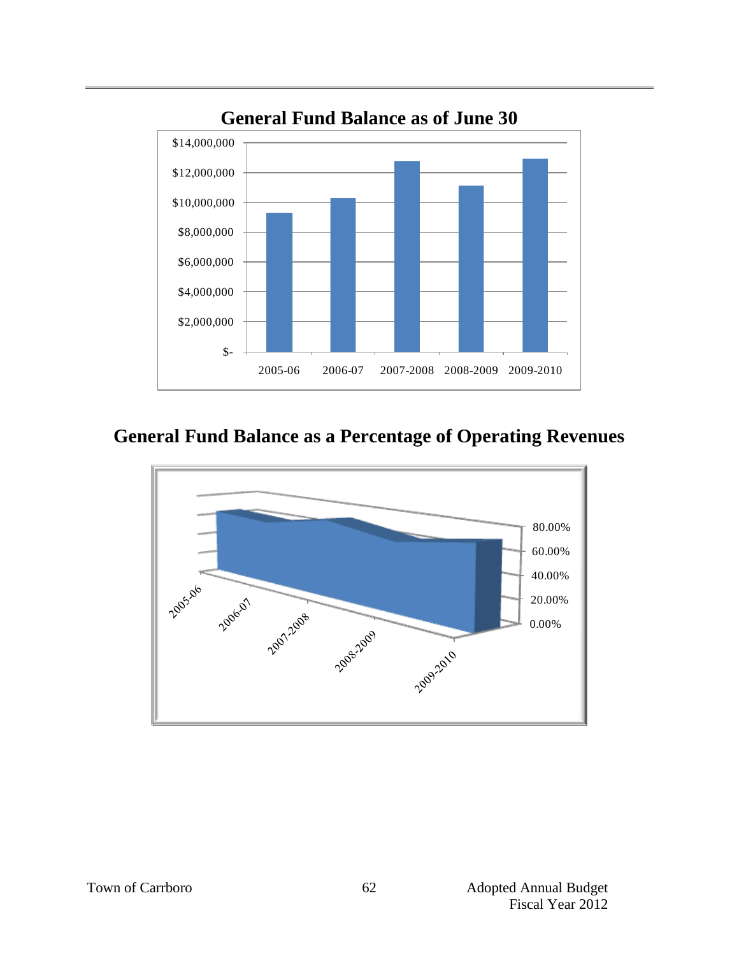

# **General Fund Balance as a Percentage of Operating Revenues**

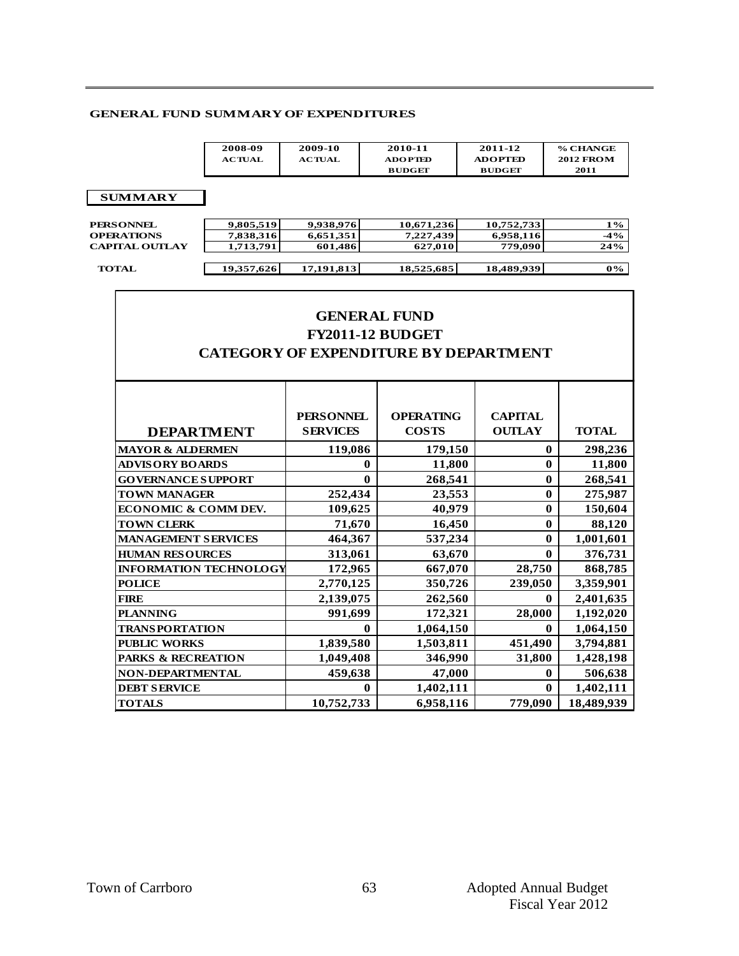#### **GENERAL FUND SUMMARY OF EXPENDITURES**

| SUMMARY OF EXPENDITURES |               |                |                |                  |  |  |  |
|-------------------------|---------------|----------------|----------------|------------------|--|--|--|
| 2008-09                 | 2009-10       | 2010-11        | 2011-12        | % CHANGE         |  |  |  |
| <b>ACTUAL</b>           | <b>ACTUAL</b> | <b>ADOPTED</b> | <b>ADOPTED</b> | <b>2012 FROM</b> |  |  |  |
|                         |               | <b>BUDGET</b>  | <b>BUDGET</b>  | 2011             |  |  |  |

#### **SUMMARY**

| $1\%$  |
|--------|
| $-4\%$ |
| 24%    |
|        |
| $0\%$  |
|        |
|        |

# **GENERAL FUND FY2011-12 BUDGET CATEGORY OF EXPENDITURE BY DEPARTMENT**

|                               | <b>PERSONNEL</b> | <b>OPERATING</b> | <b>CAPITAL</b> |              |
|-------------------------------|------------------|------------------|----------------|--------------|
| <b>DEPARTMENT</b>             | <b>SERVICES</b>  | <b>COSTS</b>     | <b>OUTLAY</b>  | <b>TOTAL</b> |
| <b>MAYOR &amp; ALDERMEN</b>   | 119,086          | 179,150          | $\bf{0}$       | 298,236      |
| <b>ADVISORY BOARDS</b>        | 0                | 11,800           | $\mathbf{0}$   | 11,800       |
| <b>GOVERNANCE SUPPORT</b>     | $\mathbf 0$      | 268,541          | $\bf{0}$       | 268,541      |
| <b>TOWN MANAGER</b>           | 252,434          | 23,553           | $\mathbf{0}$   | 275,987      |
| ECONOMIC & COMM DEV.          | 109,625          | 40,979           | 0              | 150,604      |
| <b>TOWN CLERK</b>             | 71,670           | 16,450           | $\bf{0}$       | 88,120       |
| <b>MANAGEMENT SERVICES</b>    | 464,367          | 537,234          | $\bf{0}$       | 1,001,601    |
| <b>HUMAN RESOURCES</b>        | 313,061          | 63,670           | 0              | 376,731      |
| <b>INFORMATION TECHNOLOGY</b> | 172,965          | 667,070          | 28,750         | 868,785      |
| <b>POLICE</b>                 | 2,770,125        | 350,726          | 239,050        | 3,359,901    |
| <b>FIRE</b>                   | 2,139,075        | 262,560          | 0              | 2,401,635    |
| <b>PLANNING</b>               | 991,699          | 172,321          | 28,000         | 1,192,020    |
| <b>TRANSPORTATION</b>         | $\bf{0}$         | 1,064,150        | $\bf{0}$       | 1,064,150    |
| <b>PUBLIC WORKS</b>           | 1,839,580        | 1,503,811        | 451,490        | 3,794,881    |
| <b>PARKS &amp; RECREATION</b> | 1,049,408        | 346,990          | 31,800         | 1,428,198    |
| <b>NON-DEPARTMENTAL</b>       | 459,638          | 47,000           | 0              | 506,638      |
| <b>DEBT SERVICE</b>           | 0                | 1,402,111        | $\bf{0}$       | 1,402,111    |
| <b>TOTALS</b>                 | 10,752,733       | 6,958,116        | 779,090        | 18,489,939   |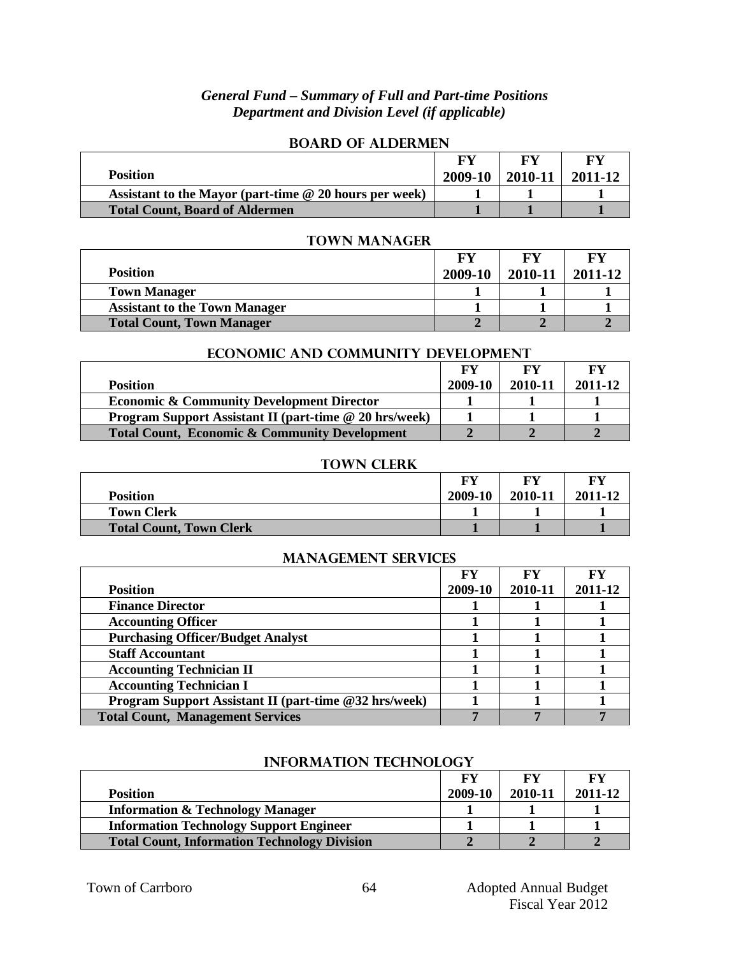## *General Fund – Summary of Full and Part-time Positions Department and Division Level (if applicable)*

|                                                          | FV      |         | FV      |
|----------------------------------------------------------|---------|---------|---------|
| <b>Position</b>                                          | 2009-10 | 2010-11 | 2011-12 |
| Assistant to the Mayor (part-time $@$ 20 hours per week) |         |         |         |
| <b>Total Count, Board of Aldermen</b>                    |         |         |         |

## **Board of Aldermen**

#### **Town Manager**

|                                      | FY      |         | FY      |
|--------------------------------------|---------|---------|---------|
| <b>Position</b>                      | 2009-10 | 2010-11 | 2011-12 |
| <b>Town Manager</b>                  |         |         |         |
| <b>Assistant to the Town Manager</b> |         |         |         |
| <b>Total Count, Town Manager</b>     |         |         |         |

## **Economic and Community Development**

|                                                               | FY      |         | FY      |
|---------------------------------------------------------------|---------|---------|---------|
| <b>Position</b>                                               | 2009-10 | 2010-11 | 2011-12 |
| <b>Economic &amp; Community Development Director</b>          |         |         |         |
| <b>Program Support Assistant II (part-time @ 20 hrs/week)</b> |         |         |         |
| <b>Total Count, Economic &amp; Community Development</b>      |         |         |         |

#### **Town Clerk**

|                                | FY      | FV      | FY      |
|--------------------------------|---------|---------|---------|
| <b>Position</b>                | 2009-10 | 2010-11 | 2011-12 |
| <b>Town Clerk</b>              |         |         |         |
| <b>Total Count, Town Clerk</b> |         |         |         |

## **Management Services**

|                                                              | FV      |         | FY      |
|--------------------------------------------------------------|---------|---------|---------|
| <b>Position</b>                                              | 2009-10 | 2010-11 | 2011-12 |
| <b>Finance Director</b>                                      |         |         |         |
| <b>Accounting Officer</b>                                    |         |         |         |
| <b>Purchasing Officer/Budget Analyst</b>                     |         |         |         |
| <b>Staff Accountant</b>                                      |         |         |         |
| <b>Accounting Technician II</b>                              |         |         |         |
| <b>Accounting Technician I</b>                               |         |         |         |
| <b>Program Support Assistant II (part-time @32 hrs/week)</b> |         |         |         |
| <b>Total Count, Management Services</b>                      |         |         |         |

| <b>Position</b>                                     | <b>FV</b><br>2009-10 | FY<br>2010-11 | FY<br>2011-12 |  |  |
|-----------------------------------------------------|----------------------|---------------|---------------|--|--|
|                                                     |                      |               |               |  |  |
| <b>Information &amp; Technology Manager</b>         |                      |               |               |  |  |
| <b>Information Technology Support Engineer</b>      |                      |               |               |  |  |
| <b>Total Count, Information Technology Division</b> |                      |               |               |  |  |

#### **INFORMATION TECHNOLOGY**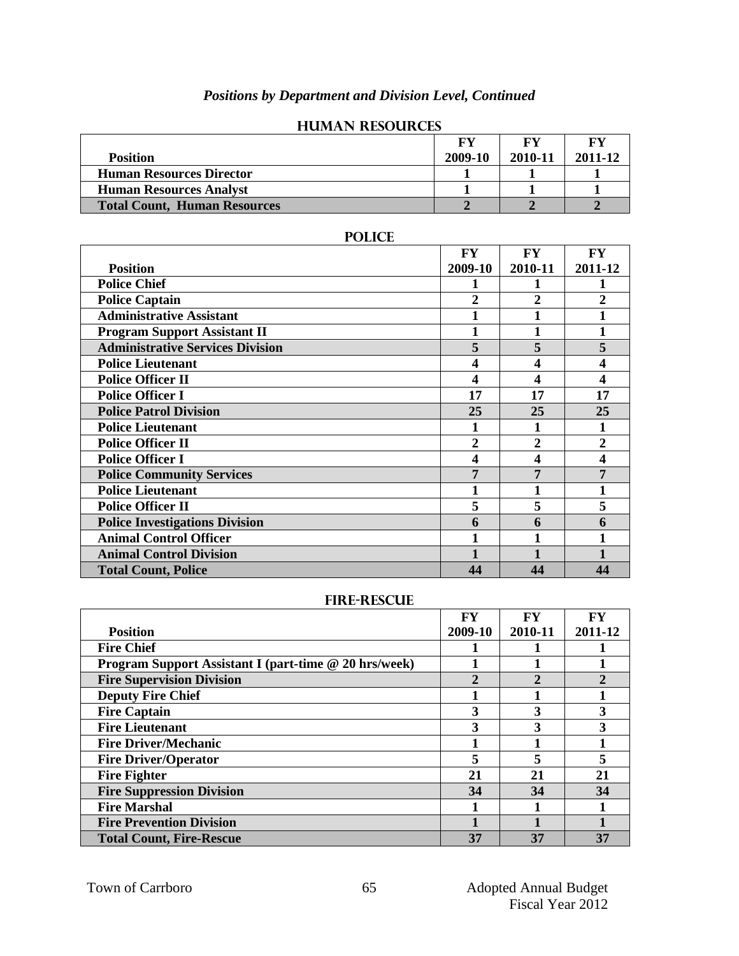# *Positions by Department and Division Level, Continued*

| <b>Position</b>                     | FY<br>2009-10 | FY<br>2010-11 | FY<br>2011-12 |
|-------------------------------------|---------------|---------------|---------------|
| <b>Human Resources Director</b>     |               |               |               |
| <b>Human Resources Analyst</b>      |               |               |               |
| <b>Total Count, Human Resources</b> |               |               |               |

#### **Human Resources**

|                                         | FY      | FY             | FY             |
|-----------------------------------------|---------|----------------|----------------|
| <b>Position</b>                         | 2009-10 | 2010-11        | 2011-12        |
| <b>Police Chief</b>                     |         |                |                |
| <b>Police Captain</b>                   | 2       | $\overline{2}$ | $\overline{2}$ |
| <b>Administrative Assistant</b>         |         |                |                |
| <b>Program Support Assistant II</b>     |         |                |                |
| <b>Administrative Services Division</b> | 5       | 5              | 5              |
| <b>Police Lieutenant</b>                | 4       | 4              |                |
| <b>Police Officer II</b>                | 4       | 4              | 4              |
| <b>Police Officer I</b>                 | 17      | 17             | 17             |
| <b>Police Patrol Division</b>           | 25      | 25             | 25             |
| <b>Police Lieutenant</b>                |         | 1              |                |
| <b>Police Officer II</b>                | 2       | 2              | $\overline{2}$ |
| <b>Police Officer I</b>                 | 4       | 4              | 4              |
| <b>Police Community Services</b>        | 7       |                |                |
| <b>Police Lieutenant</b>                |         |                |                |
| <b>Police Officer II</b>                | 5       | 5              | 5              |
| <b>Police Investigations Division</b>   | 6       | 6              | 6              |
| <b>Animal Control Officer</b>           |         |                |                |
| <b>Animal Control Division</b>          |         |                |                |
| <b>Total Count, Police</b>              | 44      | 44             | 44             |

## **Police**

#### **Fire-Rescue**

|                                                              | <b>FY</b>    | FY             | FY      |
|--------------------------------------------------------------|--------------|----------------|---------|
| <b>Position</b>                                              | 2009-10      | 2010-11        | 2011-12 |
| <b>Fire Chief</b>                                            |              |                |         |
| <b>Program Support Assistant I (part-time @ 20 hrs/week)</b> |              |                |         |
| <b>Fire Supervision Division</b>                             | $\mathbf{2}$ | $\mathfrak{D}$ |         |
| <b>Deputy Fire Chief</b>                                     |              |                |         |
| <b>Fire Captain</b>                                          | 3            | 3              |         |
| <b>Fire Lieutenant</b>                                       | 3            | 3              |         |
| <b>Fire Driver/Mechanic</b>                                  |              |                |         |
| <b>Fire Driver/Operator</b>                                  | 5            | 5              |         |
| <b>Fire Fighter</b>                                          | 21           | 21             | 21      |
| <b>Fire Suppression Division</b>                             | 34           | 34             | 34      |
| <b>Fire Marshal</b>                                          |              |                |         |
| <b>Fire Prevention Division</b>                              |              |                |         |
| <b>Total Count, Fire-Rescue</b>                              | 37           | 37             | 37      |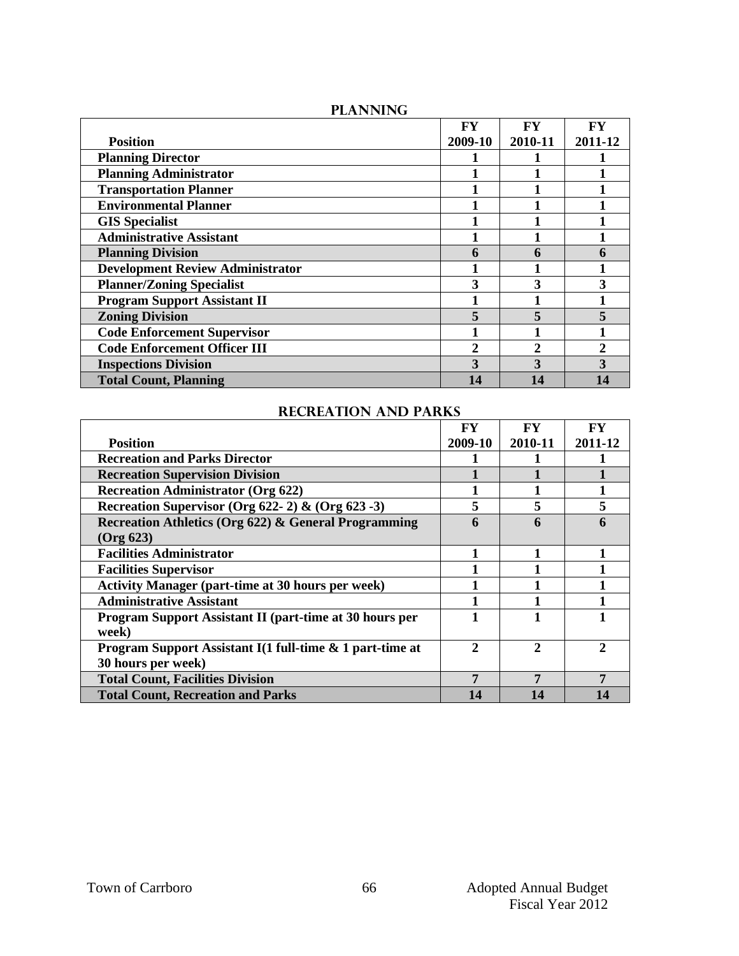|                                         | FY           | FY          | <b>FY</b> |
|-----------------------------------------|--------------|-------------|-----------|
| <b>Position</b>                         | 2009-10      | 2010-11     | 2011-12   |
| <b>Planning Director</b>                |              |             |           |
| <b>Planning Administrator</b>           |              |             |           |
| <b>Transportation Planner</b>           |              |             |           |
| <b>Environmental Planner</b>            |              |             |           |
| <b>GIS Specialist</b>                   |              |             |           |
| <b>Administrative Assistant</b>         |              |             |           |
| <b>Planning Division</b>                | 6            | 6           |           |
| <b>Development Review Administrator</b> |              |             |           |
| <b>Planner/Zoning Specialist</b>        | 3            | 3           |           |
| <b>Program Support Assistant II</b>     |              |             |           |
| <b>Zoning Division</b>                  | 5            |             |           |
| <b>Code Enforcement Supervisor</b>      |              |             |           |
| <b>Code Enforcement Officer III</b>     | $\mathbf{2}$ | $\mathbf 2$ |           |
| <b>Inspections Division</b>             | 3            | 3           |           |
| <b>Total Count, Planning</b>            | 14           | 14          |           |

# **Planning**

## **Recreation and Parks**

|                                                                | FY           | FY           | <b>FY</b> |
|----------------------------------------------------------------|--------------|--------------|-----------|
| <b>Position</b>                                                | 2009-10      | 2010-11      | 2011-12   |
| <b>Recreation and Parks Director</b>                           |              |              |           |
| <b>Recreation Supervision Division</b>                         |              |              |           |
| <b>Recreation Administrator (Org 622)</b>                      |              |              |           |
| Recreation Supervisor (Org 622-2) & (Org 623-3)                | 5            | 5            |           |
| Recreation Athletics (Org 622) & General Programming           | 6            | 6            |           |
| $($ Org 623 $)$                                                |              |              |           |
| <b>Facilities Administrator</b>                                |              |              |           |
| <b>Facilities Supervisor</b>                                   |              |              |           |
| <b>Activity Manager (part-time at 30 hours per week)</b>       |              |              |           |
| <b>Administrative Assistant</b>                                |              |              |           |
| <b>Program Support Assistant II (part-time at 30 hours per</b> |              |              |           |
| week)                                                          |              |              |           |
| Program Support Assistant I(1 full-time & 1 part-time at       | $\mathbf{2}$ | $\mathbf{2}$ | 2         |
| 30 hours per week)                                             |              |              |           |
| <b>Total Count, Facilities Division</b>                        | 7            | 7            | 7         |
| <b>Total Count, Recreation and Parks</b>                       | 14           | 14           | 14        |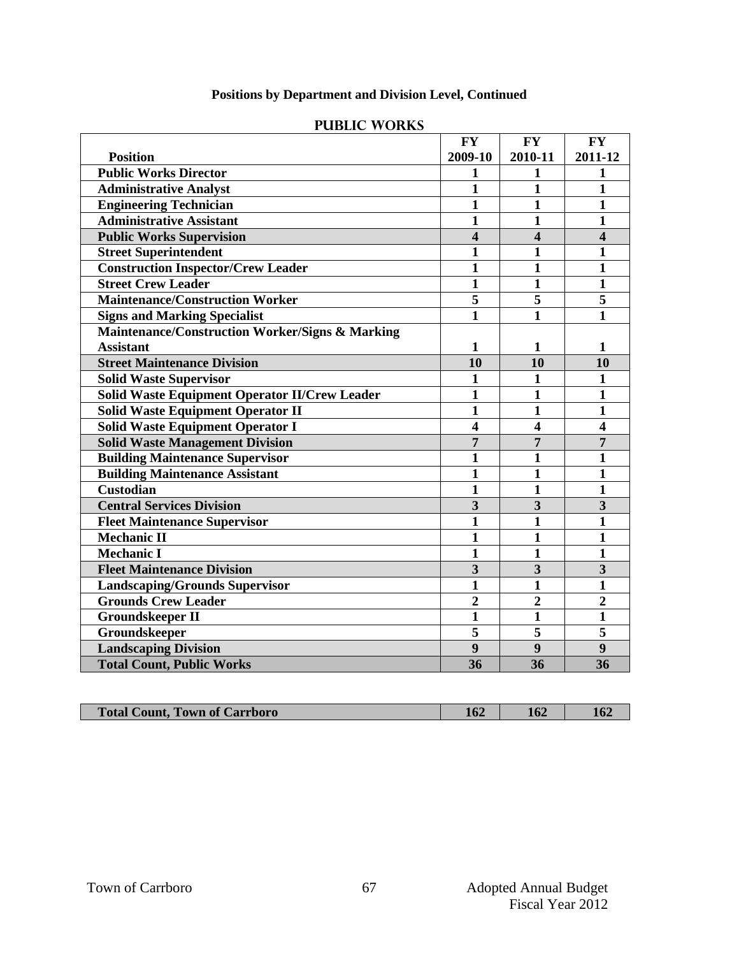# **Positions by Department and Division Level, Continued**

|                                                      | <b>FY</b>               | <b>FY</b>               | <b>FY</b>               |
|------------------------------------------------------|-------------------------|-------------------------|-------------------------|
| <b>Position</b>                                      | 2009-10                 | 2010-11                 | 2011-12                 |
| <b>Public Works Director</b>                         | 1                       | 1                       | 1                       |
| <b>Administrative Analyst</b>                        | 1                       | 1                       | $\mathbf{1}$            |
| <b>Engineering Technician</b>                        | 1                       | $\mathbf{1}$            | 1                       |
| <b>Administrative Assistant</b>                      | $\mathbf{1}$            | $\mathbf{1}$            | 1                       |
| <b>Public Works Supervision</b>                      | $\overline{\mathbf{4}}$ | 4                       | 4                       |
| <b>Street Superintendent</b>                         | $\mathbf{1}$            | 1                       | 1                       |
| <b>Construction Inspector/Crew Leader</b>            | $\mathbf{1}$            | $\mathbf{1}$            | $\mathbf{1}$            |
| <b>Street Crew Leader</b>                            | $\mathbf{1}$            | $\mathbf{1}$            | $\mathbf{1}$            |
| <b>Maintenance/Construction Worker</b>               | 5                       | 5                       | 5                       |
| <b>Signs and Marking Specialist</b>                  | $\mathbf{1}$            | $\mathbf{1}$            | 1                       |
| Maintenance/Construction Worker/Signs & Marking      |                         |                         |                         |
| <b>Assistant</b>                                     | 1                       | 1                       | 1                       |
| <b>Street Maintenance Division</b>                   | 10                      | 10                      | 10                      |
| <b>Solid Waste Supervisor</b>                        | $\mathbf{1}$            | 1                       | $\mathbf{1}$            |
| <b>Solid Waste Equipment Operator II/Crew Leader</b> | $\mathbf{1}$            | 1                       | 1                       |
| <b>Solid Waste Equipment Operator II</b>             | 1                       | 1                       | $\mathbf{1}$            |
| <b>Solid Waste Equipment Operator I</b>              | $\overline{\mathbf{4}}$ | 4                       | $\overline{\mathbf{4}}$ |
| <b>Solid Waste Management Division</b>               | $\overline{7}$          | $\overline{7}$          | $\overline{7}$          |
| <b>Building Maintenance Supervisor</b>               | $\mathbf{1}$            | $\mathbf{1}$            | $\mathbf{1}$            |
| <b>Building Maintenance Assistant</b>                | $\mathbf{1}$            | $\mathbf{1}$            | 1                       |
| <b>Custodian</b>                                     | 1                       | $\mathbf{1}$            | 1                       |
| <b>Central Services Division</b>                     | $\overline{\mathbf{3}}$ | $\overline{\mathbf{3}}$ | $\overline{\mathbf{3}}$ |
| <b>Fleet Maintenance Supervisor</b>                  | 1                       | $\mathbf{1}$            | 1                       |
| <b>Mechanic II</b>                                   | 1                       | $\mathbf{1}$            | 1                       |
| <b>Mechanic I</b>                                    | $\mathbf{1}$            | $\mathbf{1}$            | $\mathbf{1}$            |
| <b>Fleet Maintenance Division</b>                    | $\overline{\mathbf{3}}$ | $\overline{\mathbf{3}}$ | $\overline{\mathbf{3}}$ |
| <b>Landscaping/Grounds Supervisor</b>                | $\mathbf{1}$            | $\mathbf{1}$            | $\mathbf{1}$            |
| <b>Grounds Crew Leader</b>                           | $\overline{2}$          | $\overline{2}$          | $\overline{2}$          |
| <b>Groundskeeper II</b>                              | $\mathbf{1}$            | $\mathbf{1}$            | $\mathbf{1}$            |
| Groundskeeper                                        | $\overline{\mathbf{5}}$ | $\overline{\mathbf{5}}$ | $\overline{\mathbf{5}}$ |
| <b>Landscaping Division</b>                          | $\boldsymbol{9}$        | 9                       | $\boldsymbol{9}$        |
| <b>Total Count, Public Works</b>                     | 36                      | 36                      | 36                      |

## **Public works**

| <b>Total</b><br><b>Town</b><br>of Carrboro<br><b>Count</b> | . | $\epsilon$<br><b>10.</b> | 10. |
|------------------------------------------------------------|---|--------------------------|-----|